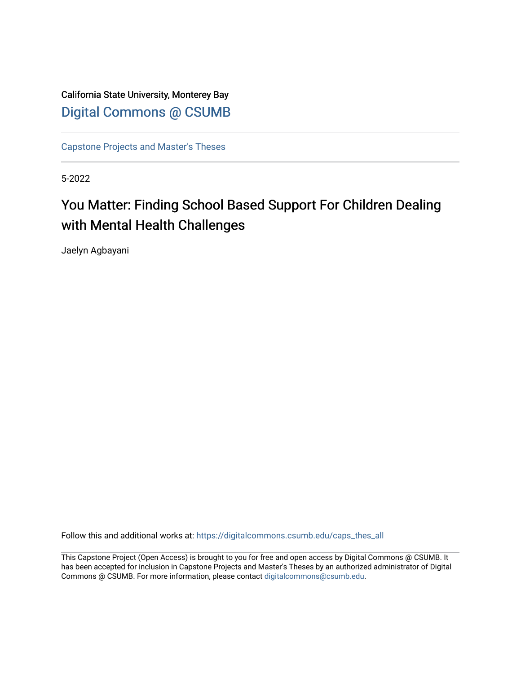California State University, Monterey Bay [Digital Commons @ CSUMB](https://digitalcommons.csumb.edu/)

[Capstone Projects and Master's Theses](https://digitalcommons.csumb.edu/caps_thes_all)

5-2022

# You Matter: Finding School Based Support For Children Dealing with Mental Health Challenges

Jaelyn Agbayani

Follow this and additional works at: [https://digitalcommons.csumb.edu/caps\\_thes\\_all](https://digitalcommons.csumb.edu/caps_thes_all?utm_source=digitalcommons.csumb.edu%2Fcaps_thes_all%2F1309&utm_medium=PDF&utm_campaign=PDFCoverPages)

This Capstone Project (Open Access) is brought to you for free and open access by Digital Commons @ CSUMB. It has been accepted for inclusion in Capstone Projects and Master's Theses by an authorized administrator of Digital Commons @ CSUMB. For more information, please contact [digitalcommons@csumb.edu](mailto:digitalcommons@csumb.edu).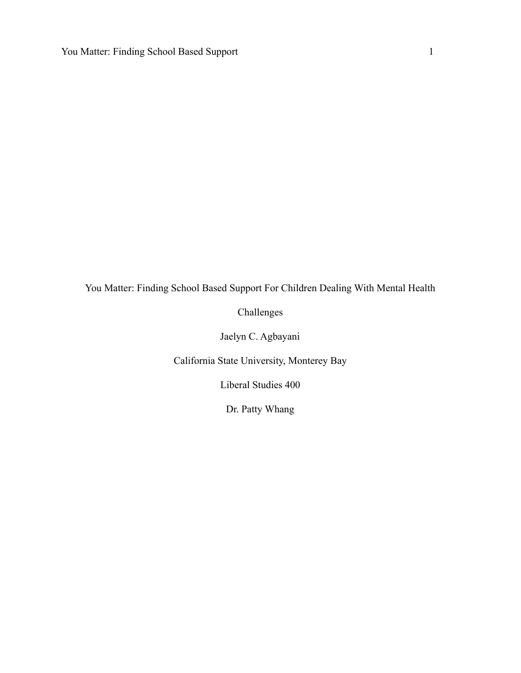You Matter: Finding School Based Support For Children Dealing With Mental Health

Challenges

Jaelyn C. Agbayani

California State University, Monterey Bay

Liberal Studies 400

Dr. Patty Whang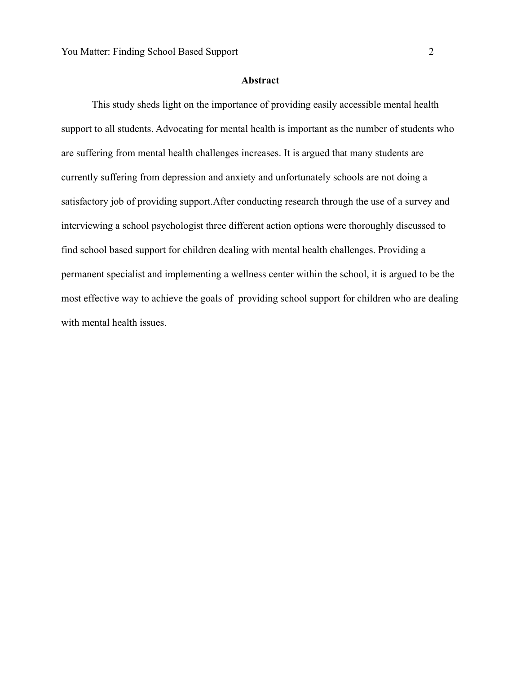#### **Abstract**

This study sheds light on the importance of providing easily accessible mental health support to all students. Advocating for mental health is important as the number of students who are suffering from mental health challenges increases. It is argued that many students are currently suffering from depression and anxiety and unfortunately schools are not doing a satisfactory job of providing support.After conducting research through the use of a survey and interviewing a school psychologist three different action options were thoroughly discussed to find school based support for children dealing with mental health challenges. Providing a permanent specialist and implementing a wellness center within the school, it is argued to be the most effective way to achieve the goals of providing school support for children who are dealing with mental health issues.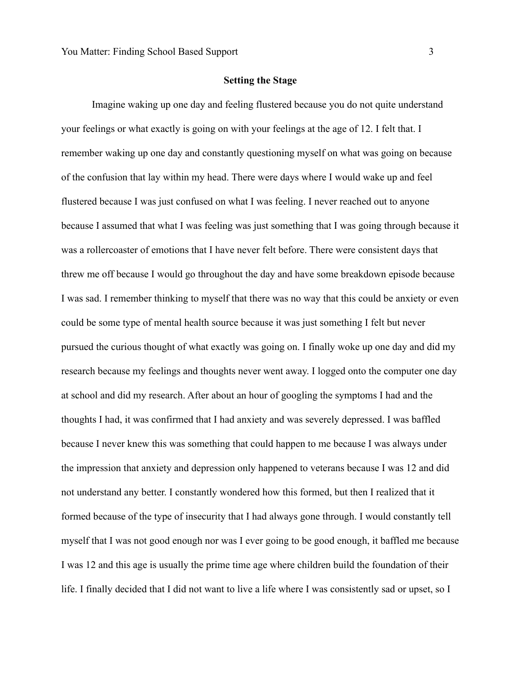# **Setting the Stage**

Imagine waking up one day and feeling flustered because you do not quite understand your feelings or what exactly is going on with your feelings at the age of 12. I felt that. I remember waking up one day and constantly questioning myself on what was going on because of the confusion that lay within my head. There were days where I would wake up and feel flustered because I was just confused on what I was feeling. I never reached out to anyone because I assumed that what I was feeling was just something that I was going through because it was a rollercoaster of emotions that I have never felt before. There were consistent days that threw me off because I would go throughout the day and have some breakdown episode because I was sad. I remember thinking to myself that there was no way that this could be anxiety or even could be some type of mental health source because it was just something I felt but never pursued the curious thought of what exactly was going on. I finally woke up one day and did my research because my feelings and thoughts never went away. I logged onto the computer one day at school and did my research. After about an hour of googling the symptoms I had and the thoughts I had, it was confirmed that I had anxiety and was severely depressed. I was baffled because I never knew this was something that could happen to me because I was always under the impression that anxiety and depression only happened to veterans because I was 12 and did not understand any better. I constantly wondered how this formed, but then I realized that it formed because of the type of insecurity that I had always gone through. I would constantly tell myself that I was not good enough nor was I ever going to be good enough, it baffled me because I was 12 and this age is usually the prime time age where children build the foundation of their life. I finally decided that I did not want to live a life where I was consistently sad or upset, so I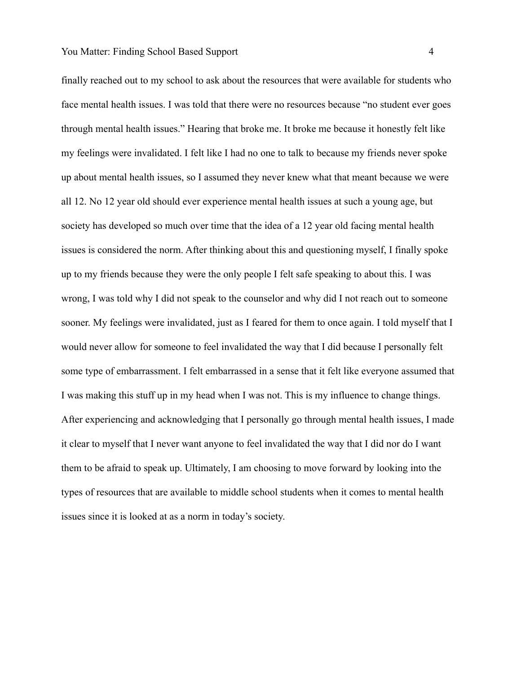finally reached out to my school to ask about the resources that were available for students who face mental health issues. I was told that there were no resources because "no student ever goes through mental health issues." Hearing that broke me. It broke me because it honestly felt like my feelings were invalidated. I felt like I had no one to talk to because my friends never spoke up about mental health issues, so I assumed they never knew what that meant because we were all 12. No 12 year old should ever experience mental health issues at such a young age, but society has developed so much over time that the idea of a 12 year old facing mental health issues is considered the norm. After thinking about this and questioning myself, I finally spoke up to my friends because they were the only people I felt safe speaking to about this. I was wrong, I was told why I did not speak to the counselor and why did I not reach out to someone sooner. My feelings were invalidated, just as I feared for them to once again. I told myself that I would never allow for someone to feel invalidated the way that I did because I personally felt some type of embarrassment. I felt embarrassed in a sense that it felt like everyone assumed that I was making this stuff up in my head when I was not. This is my influence to change things. After experiencing and acknowledging that I personally go through mental health issues, I made it clear to myself that I never want anyone to feel invalidated the way that I did nor do I want them to be afraid to speak up. Ultimately, I am choosing to move forward by looking into the types of resources that are available to middle school students when it comes to mental health issues since it is looked at as a norm in today's society.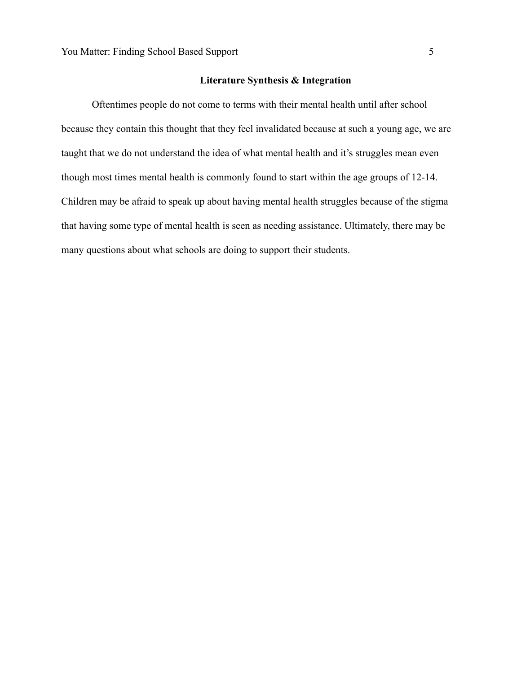## **Literature Synthesis & Integration**

Oftentimes people do not come to terms with their mental health until after school because they contain this thought that they feel invalidated because at such a young age, we are taught that we do not understand the idea of what mental health and it's struggles mean even though most times mental health is commonly found to start within the age groups of 12-14. Children may be afraid to speak up about having mental health struggles because of the stigma that having some type of mental health is seen as needing assistance. Ultimately, there may be many questions about what schools are doing to support their students.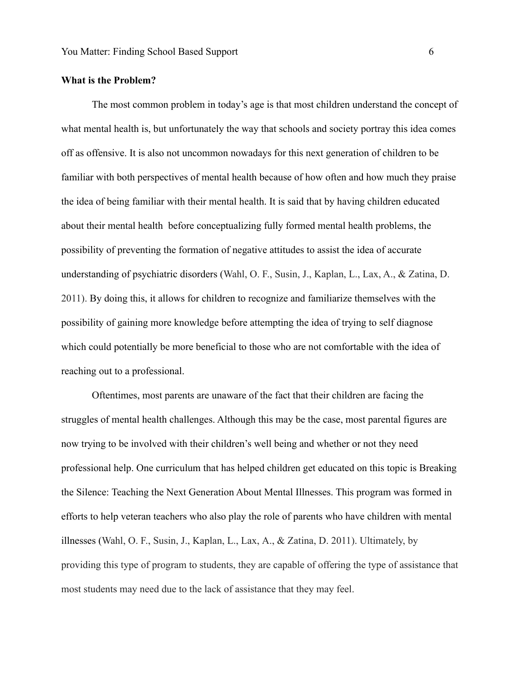## **What is the Problem?**

The most common problem in today's age is that most children understand the concept of what mental health is, but unfortunately the way that schools and society portray this idea comes off as offensive. It is also not uncommon nowadays for this next generation of children to be familiar with both perspectives of mental health because of how often and how much they praise the idea of being familiar with their mental health. It is said that by having children educated about their mental health before conceptualizing fully formed mental health problems, the possibility of preventing the formation of negative attitudes to assist the idea of accurate understanding of psychiatric disorders (Wahl, O. F., Susin, J., Kaplan, L., Lax, A., & Zatina, D. 2011). By doing this, it allows for children to recognize and familiarize themselves with the possibility of gaining more knowledge before attempting the idea of trying to self diagnose which could potentially be more beneficial to those who are not comfortable with the idea of reaching out to a professional.

Oftentimes, most parents are unaware of the fact that their children are facing the struggles of mental health challenges. Although this may be the case, most parental figures are now trying to be involved with their children's well being and whether or not they need professional help. One curriculum that has helped children get educated on this topic is Breaking the Silence: Teaching the Next Generation About Mental Illnesses. This program was formed in efforts to help veteran teachers who also play the role of parents who have children with mental illnesses (Wahl, O. F., Susin, J., Kaplan, L., Lax, A., & Zatina, D. 2011). Ultimately, by providing this type of program to students, they are capable of offering the type of assistance that most students may need due to the lack of assistance that they may feel.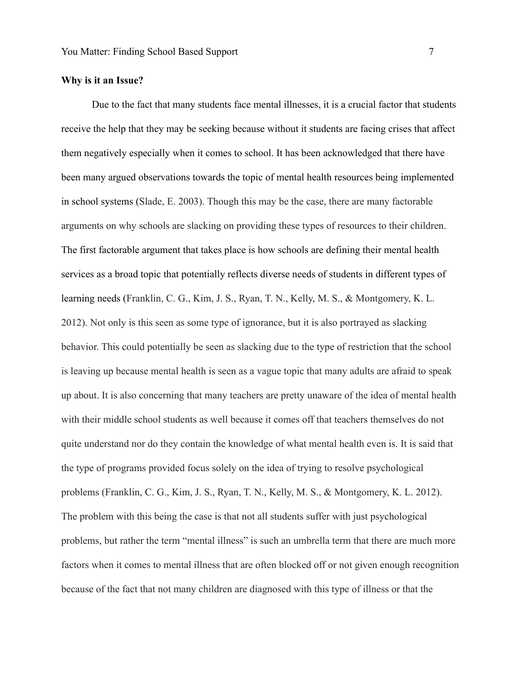# **Why is it an Issue?**

Due to the fact that many students face mental illnesses, it is a crucial factor that students receive the help that they may be seeking because without it students are facing crises that affect them negatively especially when it comes to school. It has been acknowledged that there have been many argued observations towards the topic of mental health resources being implemented in school systems (Slade, E. 2003). Though this may be the case, there are many factorable arguments on why schools are slacking on providing these types of resources to their children. The first factorable argument that takes place is how schools are defining their mental health services as a broad topic that potentially reflects diverse needs of students in different types of learning needs (Franklin, C. G., Kim, J. S., Ryan, T. N., Kelly, M. S., & Montgomery, K. L. 2012). Not only is this seen as some type of ignorance, but it is also portrayed as slacking behavior. This could potentially be seen as slacking due to the type of restriction that the school is leaving up because mental health is seen as a vague topic that many adults are afraid to speak up about. It is also concerning that many teachers are pretty unaware of the idea of mental health with their middle school students as well because it comes off that teachers themselves do not quite understand nor do they contain the knowledge of what mental health even is. It is said that the type of programs provided focus solely on the idea of trying to resolve psychological problems (Franklin, C. G., Kim, J. S., Ryan, T. N., Kelly, M. S., & Montgomery, K. L. 2012). The problem with this being the case is that not all students suffer with just psychological problems, but rather the term "mental illness" is such an umbrella term that there are much more factors when it comes to mental illness that are often blocked off or not given enough recognition because of the fact that not many children are diagnosed with this type of illness or that the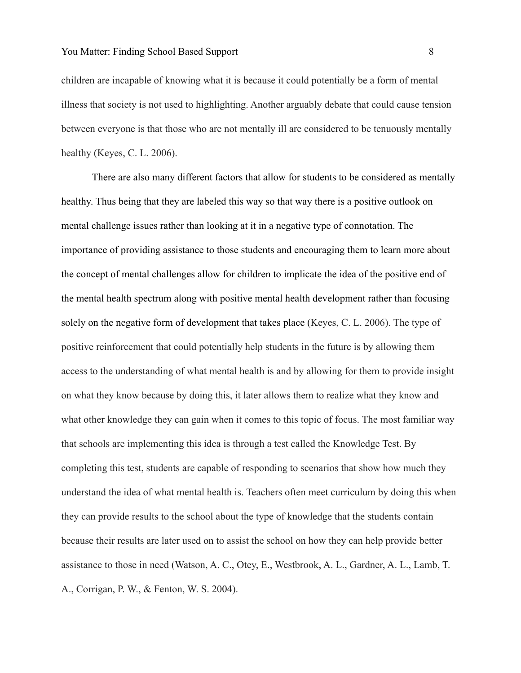children are incapable of knowing what it is because it could potentially be a form of mental illness that society is not used to highlighting. Another arguably debate that could cause tension between everyone is that those who are not mentally ill are considered to be tenuously mentally healthy (Keyes, C. L. 2006).

There are also many different factors that allow for students to be considered as mentally healthy. Thus being that they are labeled this way so that way there is a positive outlook on mental challenge issues rather than looking at it in a negative type of connotation. The importance of providing assistance to those students and encouraging them to learn more about the concept of mental challenges allow for children to implicate the idea of the positive end of the mental health spectrum along with positive mental health development rather than focusing solely on the negative form of development that takes place (Keyes, C. L. 2006). The type of positive reinforcement that could potentially help students in the future is by allowing them access to the understanding of what mental health is and by allowing for them to provide insight on what they know because by doing this, it later allows them to realize what they know and what other knowledge they can gain when it comes to this topic of focus. The most familiar way that schools are implementing this idea is through a test called the Knowledge Test. By completing this test, students are capable of responding to scenarios that show how much they understand the idea of what mental health is. Teachers often meet curriculum by doing this when they can provide results to the school about the type of knowledge that the students contain because their results are later used on to assist the school on how they can help provide better assistance to those in need (Watson, A. C., Otey, E., Westbrook, A. L., Gardner, A. L., Lamb, T. A., Corrigan, P. W., & Fenton, W. S. 2004).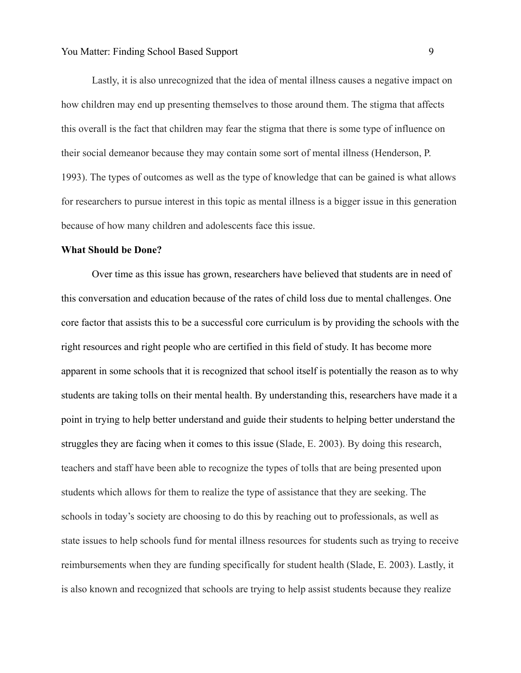Lastly, it is also unrecognized that the idea of mental illness causes a negative impact on how children may end up presenting themselves to those around them. The stigma that affects this overall is the fact that children may fear the stigma that there is some type of influence on their social demeanor because they may contain some sort of mental illness (Henderson, P. 1993). The types of outcomes as well as the type of knowledge that can be gained is what allows for researchers to pursue interest in this topic as mental illness is a bigger issue in this generation because of how many children and adolescents face this issue.

#### **What Should be Done?**

Over time as this issue has grown, researchers have believed that students are in need of this conversation and education because of the rates of child loss due to mental challenges. One core factor that assists this to be a successful core curriculum is by providing the schools with the right resources and right people who are certified in this field of study. It has become more apparent in some schools that it is recognized that school itself is potentially the reason as to why students are taking tolls on their mental health. By understanding this, researchers have made it a point in trying to help better understand and guide their students to helping better understand the struggles they are facing when it comes to this issue (Slade, E. 2003). By doing this research, teachers and staff have been able to recognize the types of tolls that are being presented upon students which allows for them to realize the type of assistance that they are seeking. The schools in today's society are choosing to do this by reaching out to professionals, as well as state issues to help schools fund for mental illness resources for students such as trying to receive reimbursements when they are funding specifically for student health (Slade, E. 2003). Lastly, it is also known and recognized that schools are trying to help assist students because they realize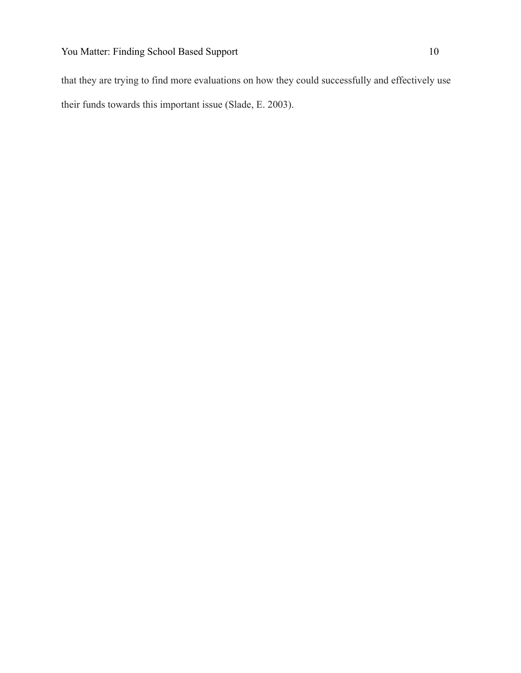that they are trying to find more evaluations on how they could successfully and effectively use their funds towards this important issue (Slade, E. 2003).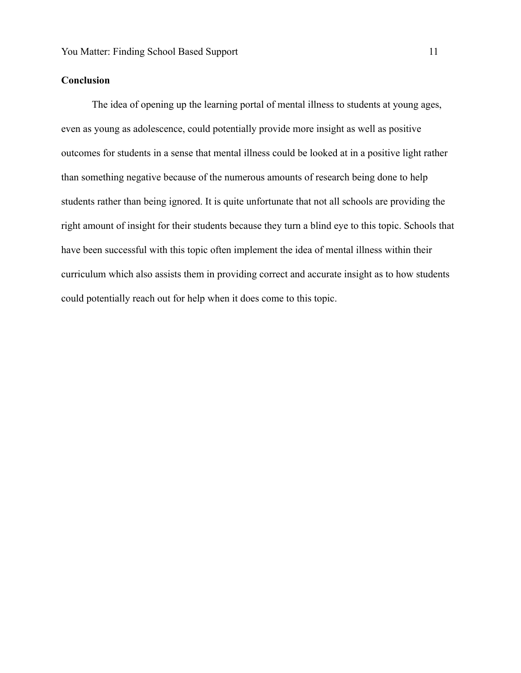# **Conclusion**

The idea of opening up the learning portal of mental illness to students at young ages, even as young as adolescence, could potentially provide more insight as well as positive outcomes for students in a sense that mental illness could be looked at in a positive light rather than something negative because of the numerous amounts of research being done to help students rather than being ignored. It is quite unfortunate that not all schools are providing the right amount of insight for their students because they turn a blind eye to this topic. Schools that have been successful with this topic often implement the idea of mental illness within their curriculum which also assists them in providing correct and accurate insight as to how students could potentially reach out for help when it does come to this topic.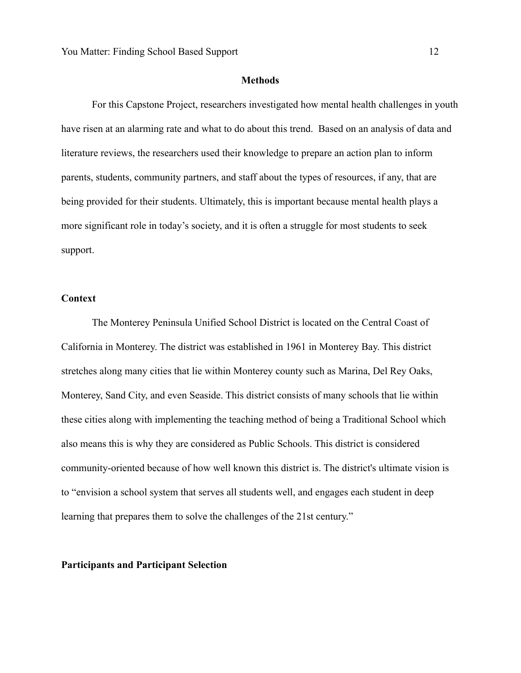#### **Methods**

For this Capstone Project, researchers investigated how mental health challenges in youth have risen at an alarming rate and what to do about this trend. Based on an analysis of data and literature reviews, the researchers used their knowledge to prepare an action plan to inform parents, students, community partners, and staff about the types of resources, if any, that are being provided for their students. Ultimately, this is important because mental health plays a more significant role in today's society, and it is often a struggle for most students to seek support.

#### **Context**

The Monterey Peninsula Unified School District is located on the Central Coast of California in Monterey. The district was established in 1961 in Monterey Bay. This district stretches along many cities that lie within Monterey county such as Marina, Del Rey Oaks, Monterey, Sand City, and even Seaside. This district consists of many schools that lie within these cities along with implementing the teaching method of being a Traditional School which also means this is why they are considered as Public Schools. This district is considered community-oriented because of how well known this district is. The district's ultimate vision is to "envision a school system that serves all students well, and engages each student in deep learning that prepares them to solve the challenges of the 21st century."

#### **Participants and Participant Selection**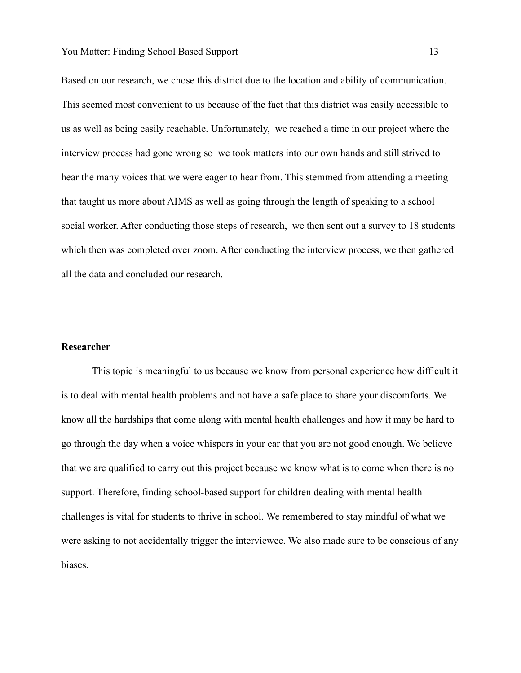Based on our research, we chose this district due to the location and ability of communication. This seemed most convenient to us because of the fact that this district was easily accessible to us as well as being easily reachable. Unfortunately, we reached a time in our project where the interview process had gone wrong so we took matters into our own hands and still strived to hear the many voices that we were eager to hear from. This stemmed from attending a meeting that taught us more about AIMS as well as going through the length of speaking to a school social worker. After conducting those steps of research, we then sent out a survey to 18 students which then was completed over zoom. After conducting the interview process, we then gathered all the data and concluded our research.

# **Researcher**

This topic is meaningful to us because we know from personal experience how difficult it is to deal with mental health problems and not have a safe place to share your discomforts. We know all the hardships that come along with mental health challenges and how it may be hard to go through the day when a voice whispers in your ear that you are not good enough. We believe that we are qualified to carry out this project because we know what is to come when there is no support. Therefore, finding school-based support for children dealing with mental health challenges is vital for students to thrive in school. We remembered to stay mindful of what we were asking to not accidentally trigger the interviewee. We also made sure to be conscious of any biases.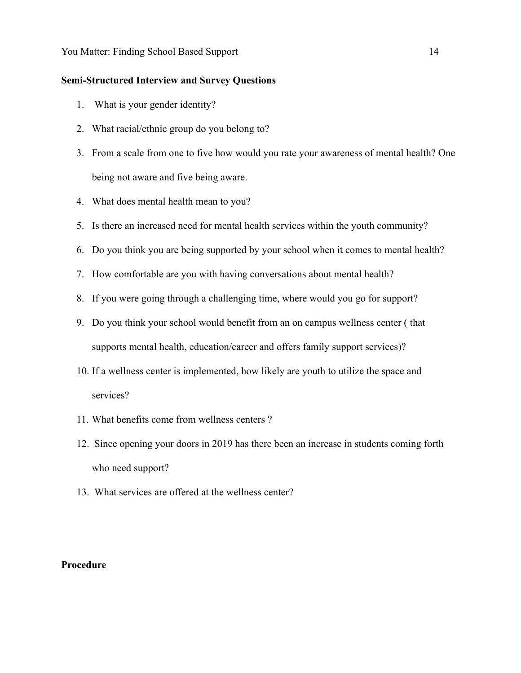# **Semi-Structured Interview and Survey Questions**

- 1. What is your gender identity?
- 2. What racial/ethnic group do you belong to?
- 3. From a scale from one to five how would you rate your awareness of mental health? One being not aware and five being aware.
- 4. What does mental health mean to you?
- 5. Is there an increased need for mental health services within the youth community?
- 6. Do you think you are being supported by your school when it comes to mental health?
- 7. How comfortable are you with having conversations about mental health?
- 8. If you were going through a challenging time, where would you go for support?
- 9. Do you think your school would benefit from an on campus wellness center ( that supports mental health, education/career and offers family support services)?
- 10. If a wellness center is implemented, how likely are youth to utilize the space and services?
- 11. What benefits come from wellness centers ?
- 12. Since opening your doors in 2019 has there been an increase in students coming forth who need support?
- 13. What services are offered at the wellness center?

#### **Procedure**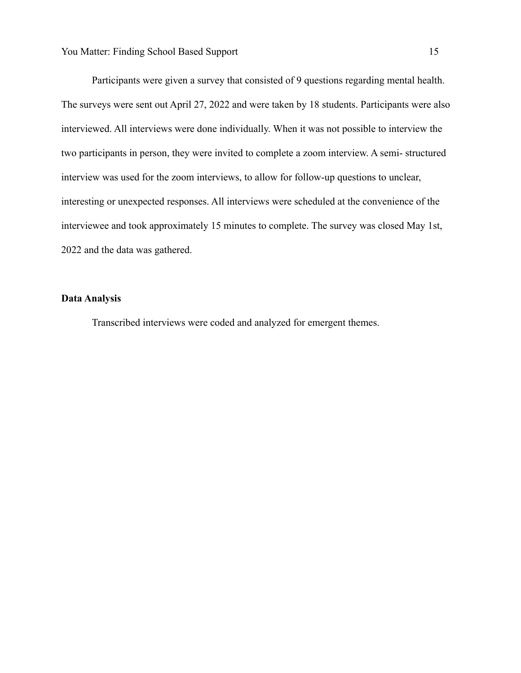Participants were given a survey that consisted of 9 questions regarding mental health. The surveys were sent out April 27, 2022 and were taken by 18 students. Participants were also interviewed. All interviews were done individually. When it was not possible to interview the two participants in person, they were invited to complete a zoom interview. A semi- structured interview was used for the zoom interviews, to allow for follow-up questions to unclear, interesting or unexpected responses. All interviews were scheduled at the convenience of the interviewee and took approximately 15 minutes to complete. The survey was closed May 1st, 2022 and the data was gathered.

## **Data Analysis**

Transcribed interviews were coded and analyzed for emergent themes.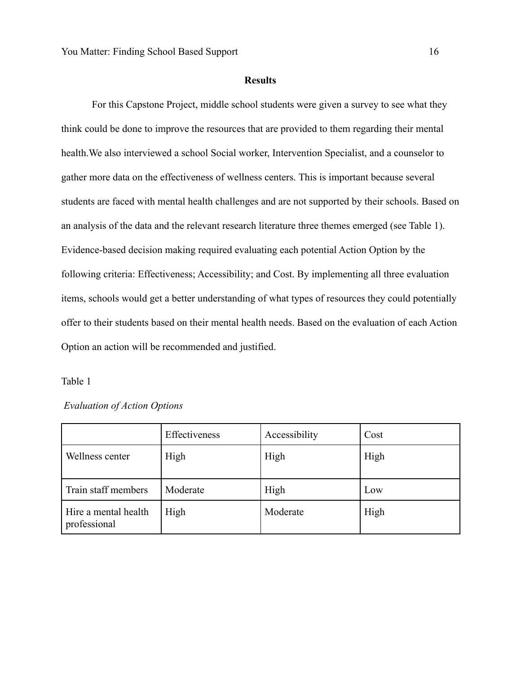#### **Results**

For this Capstone Project, middle school students were given a survey to see what they think could be done to improve the resources that are provided to them regarding their mental health.We also interviewed a school Social worker, Intervention Specialist, and a counselor to gather more data on the effectiveness of wellness centers. This is important because several students are faced with mental health challenges and are not supported by their schools. Based on an analysis of the data and the relevant research literature three themes emerged (see Table 1). Evidence-based decision making required evaluating each potential Action Option by the following criteria: Effectiveness; Accessibility; and Cost. By implementing all three evaluation items, schools would get a better understanding of what types of resources they could potentially offer to their students based on their mental health needs. Based on the evaluation of each Action Option an action will be recommended and justified.

# Table 1

| <b>Evaluation of Action Options</b> |  |  |
|-------------------------------------|--|--|
|-------------------------------------|--|--|

|                                      | Effectiveness | Accessibility | Cost |
|--------------------------------------|---------------|---------------|------|
| Wellness center                      | High          | High          | High |
| Train staff members                  | Moderate      | High          | Low  |
| Hire a mental health<br>professional | High          | Moderate      | High |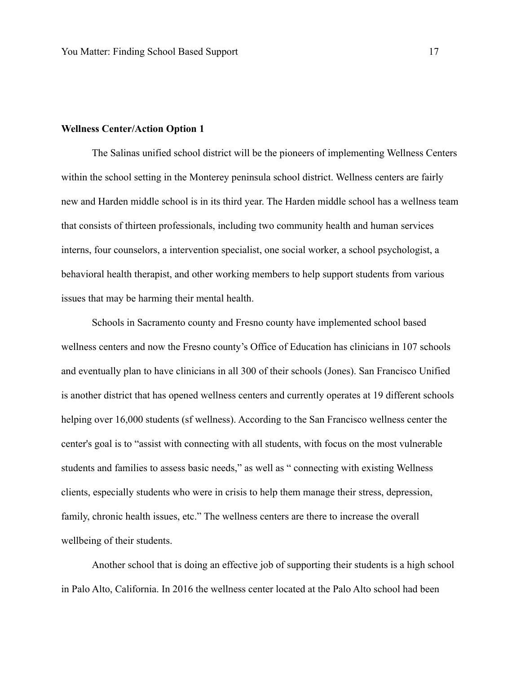#### **Wellness Center/Action Option 1**

The Salinas unified school district will be the pioneers of implementing Wellness Centers within the school setting in the Monterey peninsula school district. Wellness centers are fairly new and Harden middle school is in its third year. The Harden middle school has a wellness team that consists of thirteen professionals, including two community health and human services interns, four counselors, a intervention specialist, one social worker, a school psychologist, a behavioral health therapist, and other working members to help support students from various issues that may be harming their mental health.

Schools in Sacramento county and Fresno county have implemented school based wellness centers and now the Fresno county's Office of Education has clinicians in 107 schools and eventually plan to have clinicians in all 300 of their schools (Jones). San Francisco Unified is another district that has opened wellness centers and currently operates at 19 different schools helping over 16,000 students (sf wellness). According to the San Francisco wellness center the center's goal is to "assist with connecting with all students, with focus on the most vulnerable students and families to assess basic needs," as well as " connecting with existing Wellness clients, especially students who were in crisis to help them manage their stress, depression, family, chronic health issues, etc." The wellness centers are there to increase the overall wellbeing of their students.

Another school that is doing an effective job of supporting their students is a high school in Palo Alto, California. In 2016 the wellness center located at the Palo Alto school had been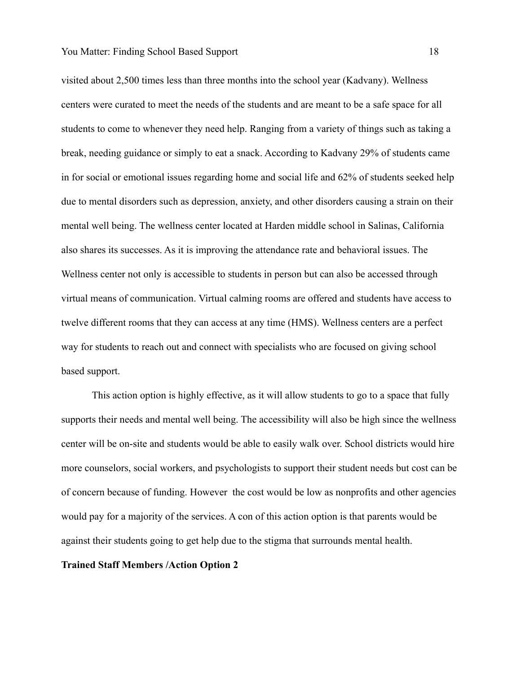visited about 2,500 times less than three months into the school year (Kadvany). Wellness centers were curated to meet the needs of the students and are meant to be a safe space for all students to come to whenever they need help. Ranging from a variety of things such as taking a break, needing guidance or simply to eat a snack. According to Kadvany 29% of students came in for social or emotional issues regarding home and social life and 62% of students seeked help due to mental disorders such as depression, anxiety, and other disorders causing a strain on their mental well being. The wellness center located at Harden middle school in Salinas, California also shares its successes. As it is improving the attendance rate and behavioral issues. The Wellness center not only is accessible to students in person but can also be accessed through virtual means of communication. Virtual calming rooms are offered and students have access to twelve different rooms that they can access at any time (HMS). Wellness centers are a perfect way for students to reach out and connect with specialists who are focused on giving school based support.

This action option is highly effective, as it will allow students to go to a space that fully supports their needs and mental well being. The accessibility will also be high since the wellness center will be on-site and students would be able to easily walk over. School districts would hire more counselors, social workers, and psychologists to support their student needs but cost can be of concern because of funding. However the cost would be low as nonprofits and other agencies would pay for a majority of the services. A con of this action option is that parents would be against their students going to get help due to the stigma that surrounds mental health.

#### **Trained Staff Members /Action Option 2**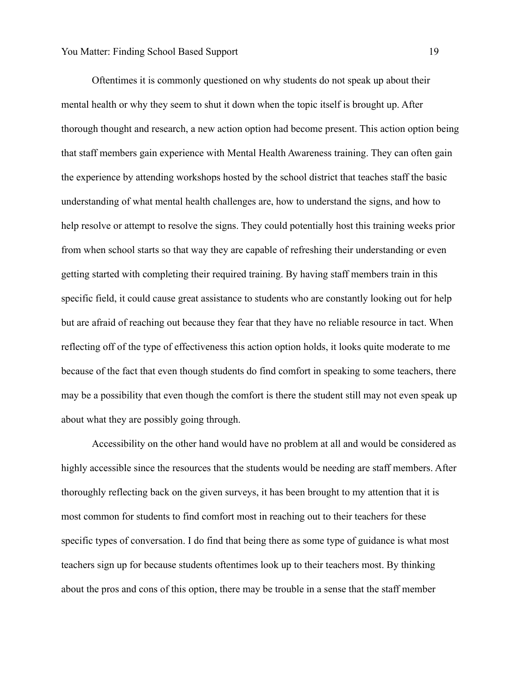Oftentimes it is commonly questioned on why students do not speak up about their mental health or why they seem to shut it down when the topic itself is brought up. After thorough thought and research, a new action option had become present. This action option being that staff members gain experience with Mental Health Awareness training. They can often gain the experience by attending workshops hosted by the school district that teaches staff the basic understanding of what mental health challenges are, how to understand the signs, and how to help resolve or attempt to resolve the signs. They could potentially host this training weeks prior from when school starts so that way they are capable of refreshing their understanding or even getting started with completing their required training. By having staff members train in this specific field, it could cause great assistance to students who are constantly looking out for help but are afraid of reaching out because they fear that they have no reliable resource in tact. When reflecting off of the type of effectiveness this action option holds, it looks quite moderate to me because of the fact that even though students do find comfort in speaking to some teachers, there may be a possibility that even though the comfort is there the student still may not even speak up about what they are possibly going through.

Accessibility on the other hand would have no problem at all and would be considered as highly accessible since the resources that the students would be needing are staff members. After thoroughly reflecting back on the given surveys, it has been brought to my attention that it is most common for students to find comfort most in reaching out to their teachers for these specific types of conversation. I do find that being there as some type of guidance is what most teachers sign up for because students oftentimes look up to their teachers most. By thinking about the pros and cons of this option, there may be trouble in a sense that the staff member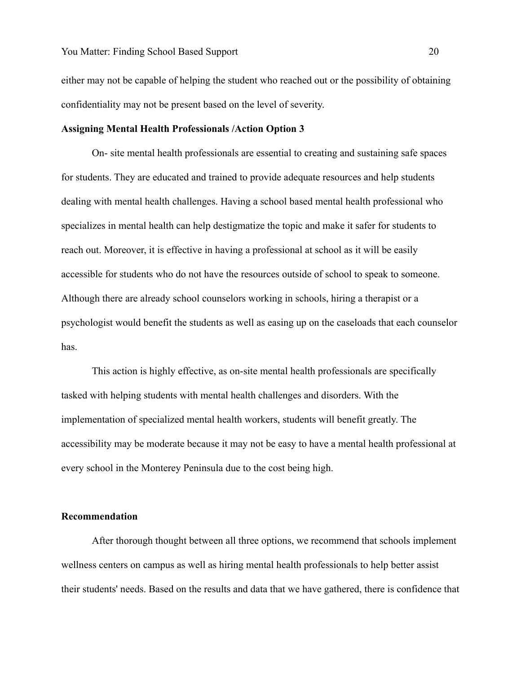either may not be capable of helping the student who reached out or the possibility of obtaining confidentiality may not be present based on the level of severity.

#### **Assigning Mental Health Professionals /Action Option 3**

On- site mental health professionals are essential to creating and sustaining safe spaces for students. They are educated and trained to provide adequate resources and help students dealing with mental health challenges. Having a school based mental health professional who specializes in mental health can help destigmatize the topic and make it safer for students to reach out. Moreover, it is effective in having a professional at school as it will be easily accessible for students who do not have the resources outside of school to speak to someone. Although there are already school counselors working in schools, hiring a therapist or a psychologist would benefit the students as well as easing up on the caseloads that each counselor has.

This action is highly effective, as on-site mental health professionals are specifically tasked with helping students with mental health challenges and disorders. With the implementation of specialized mental health workers, students will benefit greatly. The accessibility may be moderate because it may not be easy to have a mental health professional at every school in the Monterey Peninsula due to the cost being high.

## **Recommendation**

After thorough thought between all three options, we recommend that schools implement wellness centers on campus as well as hiring mental health professionals to help better assist their students' needs. Based on the results and data that we have gathered, there is confidence that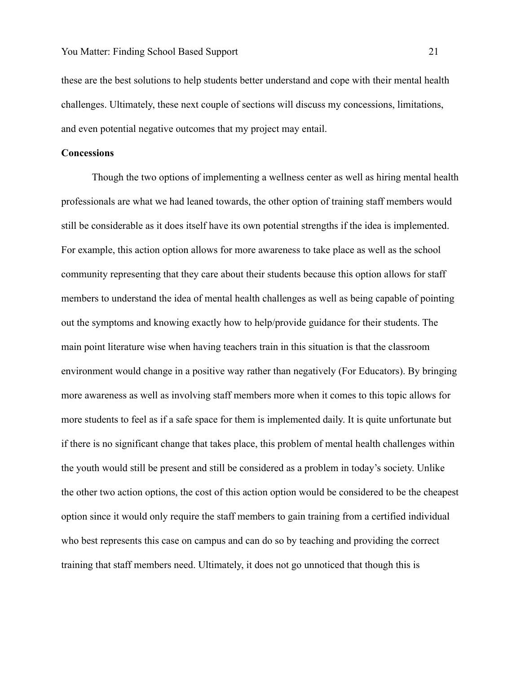these are the best solutions to help students better understand and cope with their mental health challenges. Ultimately, these next couple of sections will discuss my concessions, limitations, and even potential negative outcomes that my project may entail.

#### **Concessions**

Though the two options of implementing a wellness center as well as hiring mental health professionals are what we had leaned towards, the other option of training staff members would still be considerable as it does itself have its own potential strengths if the idea is implemented. For example, this action option allows for more awareness to take place as well as the school community representing that they care about their students because this option allows for staff members to understand the idea of mental health challenges as well as being capable of pointing out the symptoms and knowing exactly how to help/provide guidance for their students. The main point literature wise when having teachers train in this situation is that the classroom environment would change in a positive way rather than negatively (For Educators). By bringing more awareness as well as involving staff members more when it comes to this topic allows for more students to feel as if a safe space for them is implemented daily. It is quite unfortunate but if there is no significant change that takes place, this problem of mental health challenges within the youth would still be present and still be considered as a problem in today's society. Unlike the other two action options, the cost of this action option would be considered to be the cheapest option since it would only require the staff members to gain training from a certified individual who best represents this case on campus and can do so by teaching and providing the correct training that staff members need. Ultimately, it does not go unnoticed that though this is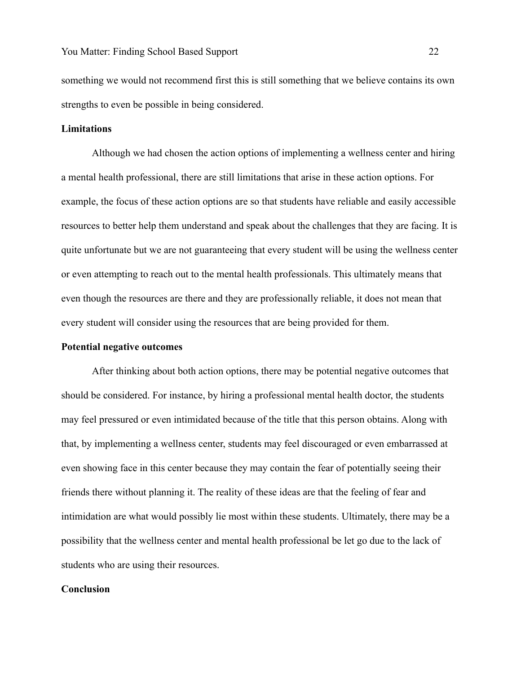something we would not recommend first this is still something that we believe contains its own strengths to even be possible in being considered.

#### **Limitations**

Although we had chosen the action options of implementing a wellness center and hiring a mental health professional, there are still limitations that arise in these action options. For example, the focus of these action options are so that students have reliable and easily accessible resources to better help them understand and speak about the challenges that they are facing. It is quite unfortunate but we are not guaranteeing that every student will be using the wellness center or even attempting to reach out to the mental health professionals. This ultimately means that even though the resources are there and they are professionally reliable, it does not mean that every student will consider using the resources that are being provided for them.

#### **Potential negative outcomes**

After thinking about both action options, there may be potential negative outcomes that should be considered. For instance, by hiring a professional mental health doctor, the students may feel pressured or even intimidated because of the title that this person obtains. Along with that, by implementing a wellness center, students may feel discouraged or even embarrassed at even showing face in this center because they may contain the fear of potentially seeing their friends there without planning it. The reality of these ideas are that the feeling of fear and intimidation are what would possibly lie most within these students. Ultimately, there may be a possibility that the wellness center and mental health professional be let go due to the lack of students who are using their resources.

# **Conclusion**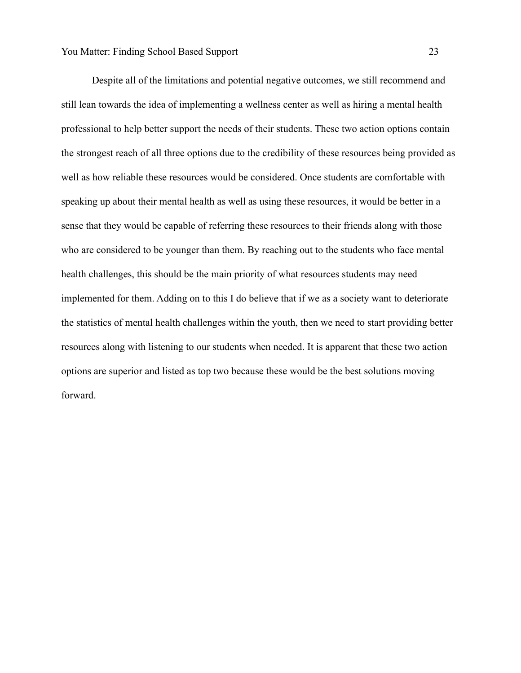Despite all of the limitations and potential negative outcomes, we still recommend and still lean towards the idea of implementing a wellness center as well as hiring a mental health professional to help better support the needs of their students. These two action options contain the strongest reach of all three options due to the credibility of these resources being provided as well as how reliable these resources would be considered. Once students are comfortable with speaking up about their mental health as well as using these resources, it would be better in a sense that they would be capable of referring these resources to their friends along with those who are considered to be younger than them. By reaching out to the students who face mental health challenges, this should be the main priority of what resources students may need implemented for them. Adding on to this I do believe that if we as a society want to deteriorate the statistics of mental health challenges within the youth, then we need to start providing better resources along with listening to our students when needed. It is apparent that these two action options are superior and listed as top two because these would be the best solutions moving forward.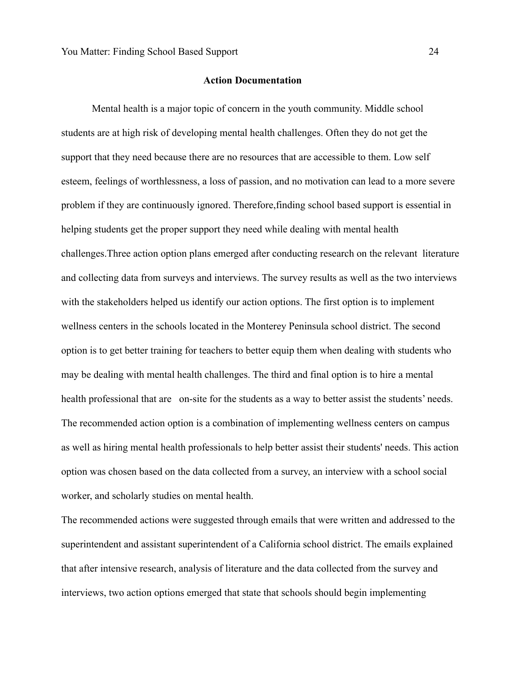## **Action Documentation**

Mental health is a major topic of concern in the youth community. Middle school students are at high risk of developing mental health challenges. Often they do not get the support that they need because there are no resources that are accessible to them. Low self esteem, feelings of worthlessness, a loss of passion, and no motivation can lead to a more severe problem if they are continuously ignored. Therefore,finding school based support is essential in helping students get the proper support they need while dealing with mental health challenges.Three action option plans emerged after conducting research on the relevant literature and collecting data from surveys and interviews. The survey results as well as the two interviews with the stakeholders helped us identify our action options. The first option is to implement wellness centers in the schools located in the Monterey Peninsula school district. The second option is to get better training for teachers to better equip them when dealing with students who may be dealing with mental health challenges. The third and final option is to hire a mental health professional that are on-site for the students as a way to better assist the students' needs. The recommended action option is a combination of implementing wellness centers on campus as well as hiring mental health professionals to help better assist their students' needs. This action option was chosen based on the data collected from a survey, an interview with a school social worker, and scholarly studies on mental health.

The recommended actions were suggested through emails that were written and addressed to the superintendent and assistant superintendent of a California school district. The emails explained that after intensive research, analysis of literature and the data collected from the survey and interviews, two action options emerged that state that schools should begin implementing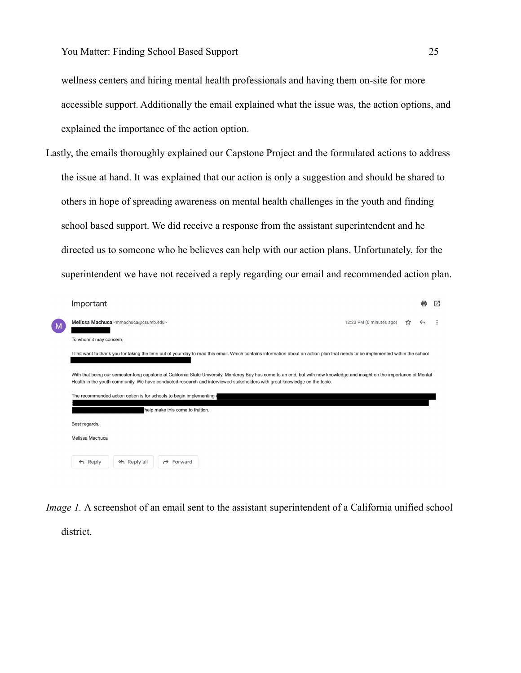wellness centers and hiring mental health professionals and having them on-site for more accessible support. Additionally the email explained what the issue was, the action options, and explained the importance of the action option.

Lastly, the emails thoroughly explained our Capstone Project and the formulated actions to address the issue at hand. It was explained that our action is only a suggestion and should be shared to others in hope of spreading awareness on mental health challenges in the youth and finding school based support. We did receive a response from the assistant superintendent and he directed us to someone who he believes can help with our action plans. Unfortunately, for the superintendent we have not received a reply regarding our email and recommended action plan.

|   | Important                                                                                                                                                                                                                                                                                                                                                                     |              | M |
|---|-------------------------------------------------------------------------------------------------------------------------------------------------------------------------------------------------------------------------------------------------------------------------------------------------------------------------------------------------------------------------------|--------------|---|
| M | Melissa Machuca <mmachuca@csumb.edu><br/>12:23 PM (0 minutes ago)<br/>≾ን</mmachuca@csumb.edu>                                                                                                                                                                                                                                                                                 | $\leftarrow$ |   |
|   | To whom it may concern,                                                                                                                                                                                                                                                                                                                                                       |              |   |
|   | I first want to thank you for taking the time out of your day to read this email. Which contains information about an action plan that needs to be implemented within the school                                                                                                                                                                                              |              |   |
|   | With that being our semester-long capstone at California State University, Monterey Bay has come to an end, but with new knowledge and insight on the importance of Mental<br>Health in the youth community. We have conducted research and interviewed stakeholders with great knowledge on the topic.<br>The recommended action option is for schools to begin implementing |              |   |
|   | help make this come to fruition.                                                                                                                                                                                                                                                                                                                                              |              |   |
|   | Best regards,                                                                                                                                                                                                                                                                                                                                                                 |              |   |
|   | Melissa Machuca                                                                                                                                                                                                                                                                                                                                                               |              |   |
|   |                                                                                                                                                                                                                                                                                                                                                                               |              |   |
|   | $\leftarrow$ Reply<br>≪ Reply all<br>$\rightarrow$ Forward                                                                                                                                                                                                                                                                                                                    |              |   |

*Image 1.* A screenshot of an email sent to the assistant superintendent of a California unified school

district.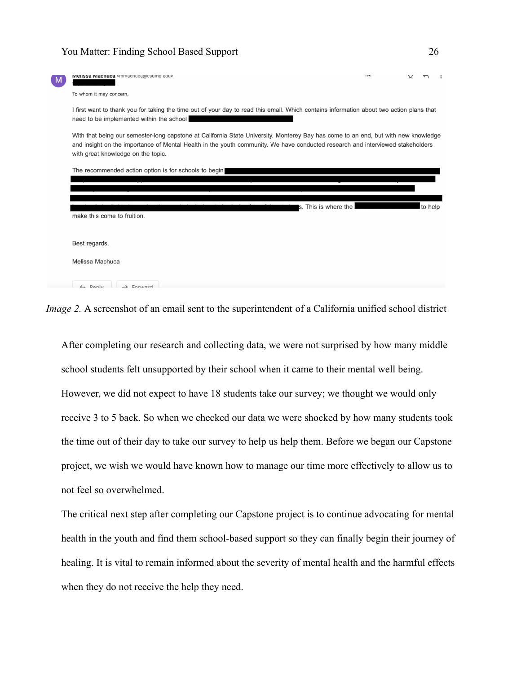| <b>Menssa Machuca</b> <mmachuca@csump.edu></mmachuca@csump.edu>                                                                                                                                                                                                                                            | <b>ISLAN</b> | ኢና |         |  |
|------------------------------------------------------------------------------------------------------------------------------------------------------------------------------------------------------------------------------------------------------------------------------------------------------------|--------------|----|---------|--|
| To whom it may concern,                                                                                                                                                                                                                                                                                    |              |    |         |  |
| I first want to thank you for taking the time out of your day to read this email. Which contains information about two action plans that<br>need to be implemented within the school                                                                                                                       |              |    |         |  |
| With that being our semester-long capstone at California State University, Monterey Bay has come to an end, but with new knowledge<br>and insight on the importance of Mental Health in the youth community. We have conducted research and interviewed stakeholders<br>with great knowledge on the topic. |              |    |         |  |
| The recommended action option is for schools to begin                                                                                                                                                                                                                                                      |              |    |         |  |
|                                                                                                                                                                                                                                                                                                            |              |    |         |  |
| s. This is where the<br>make this come to fruition.                                                                                                                                                                                                                                                        |              |    | to help |  |
|                                                                                                                                                                                                                                                                                                            |              |    |         |  |
| Best regards,                                                                                                                                                                                                                                                                                              |              |    |         |  |
| Melissa Machuca                                                                                                                                                                                                                                                                                            |              |    |         |  |
| $\n  Daniv\n$<br>$\rightarrow$ Equipped                                                                                                                                                                                                                                                                    |              |    |         |  |

*Image 2.* A screenshot of an email sent to the superintendent of a California unified school district

After completing our research and collecting data, we were not surprised by how many middle school students felt unsupported by their school when it came to their mental well being. However, we did not expect to have 18 students take our survey; we thought we would only receive 3 to 5 back. So when we checked our data we were shocked by how many students took the time out of their day to take our survey to help us help them. Before we began our Capstone project, we wish we would have known how to manage our time more effectively to allow us to not feel so overwhelmed.

The critical next step after completing our Capstone project is to continue advocating for mental health in the youth and find them school-based support so they can finally begin their journey of healing. It is vital to remain informed about the severity of mental health and the harmful effects when they do not receive the help they need.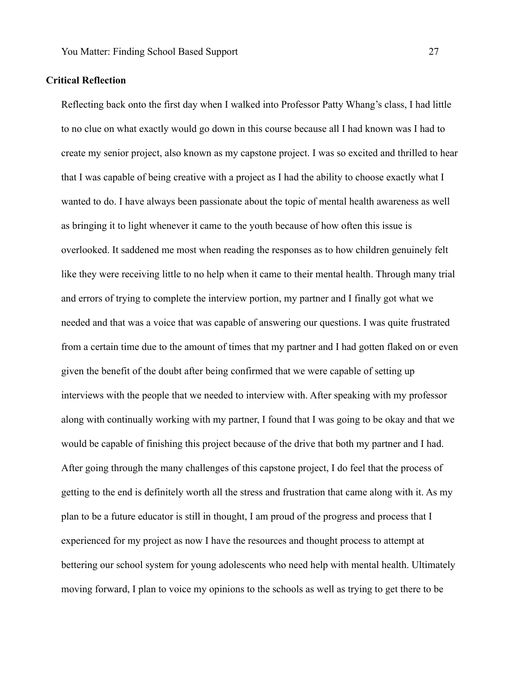# **Critical Reflection**

Reflecting back onto the first day when I walked into Professor Patty Whang's class, I had little to no clue on what exactly would go down in this course because all I had known was I had to create my senior project, also known as my capstone project. I was so excited and thrilled to hear that I was capable of being creative with a project as I had the ability to choose exactly what I wanted to do. I have always been passionate about the topic of mental health awareness as well as bringing it to light whenever it came to the youth because of how often this issue is overlooked. It saddened me most when reading the responses as to how children genuinely felt like they were receiving little to no help when it came to their mental health. Through many trial and errors of trying to complete the interview portion, my partner and I finally got what we needed and that was a voice that was capable of answering our questions. I was quite frustrated from a certain time due to the amount of times that my partner and I had gotten flaked on or even given the benefit of the doubt after being confirmed that we were capable of setting up interviews with the people that we needed to interview with. After speaking with my professor along with continually working with my partner, I found that I was going to be okay and that we would be capable of finishing this project because of the drive that both my partner and I had. After going through the many challenges of this capstone project, I do feel that the process of getting to the end is definitely worth all the stress and frustration that came along with it. As my plan to be a future educator is still in thought, I am proud of the progress and process that I experienced for my project as now I have the resources and thought process to attempt at bettering our school system for young adolescents who need help with mental health. Ultimately moving forward, I plan to voice my opinions to the schools as well as trying to get there to be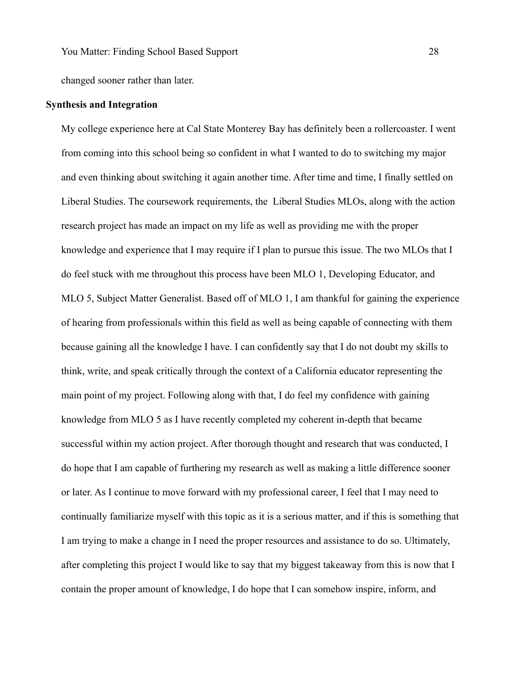changed sooner rather than later.

# **Synthesis and Integration**

My college experience here at Cal State Monterey Bay has definitely been a rollercoaster. I went from coming into this school being so confident in what I wanted to do to switching my major and even thinking about switching it again another time. After time and time, I finally settled on Liberal Studies. The coursework requirements, the Liberal Studies MLOs, along with the action research project has made an impact on my life as well as providing me with the proper knowledge and experience that I may require if I plan to pursue this issue. The two MLOs that I do feel stuck with me throughout this process have been MLO 1, Developing Educator, and MLO 5, Subject Matter Generalist. Based off of MLO 1, I am thankful for gaining the experience of hearing from professionals within this field as well as being capable of connecting with them because gaining all the knowledge I have. I can confidently say that I do not doubt my skills to think, write, and speak critically through the context of a California educator representing the main point of my project. Following along with that, I do feel my confidence with gaining knowledge from MLO 5 as I have recently completed my coherent in-depth that became successful within my action project. After thorough thought and research that was conducted, I do hope that I am capable of furthering my research as well as making a little difference sooner or later. As I continue to move forward with my professional career, I feel that I may need to continually familiarize myself with this topic as it is a serious matter, and if this is something that I am trying to make a change in I need the proper resources and assistance to do so. Ultimately, after completing this project I would like to say that my biggest takeaway from this is now that I contain the proper amount of knowledge, I do hope that I can somehow inspire, inform, and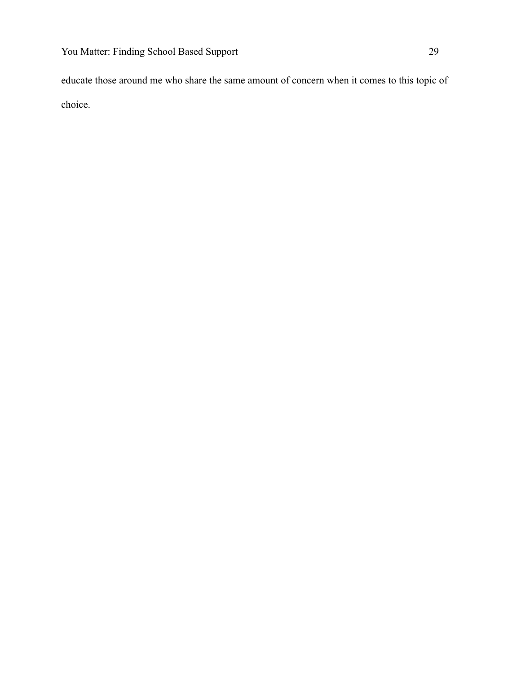educate those around me who share the same amount of concern when it comes to this topic of choice.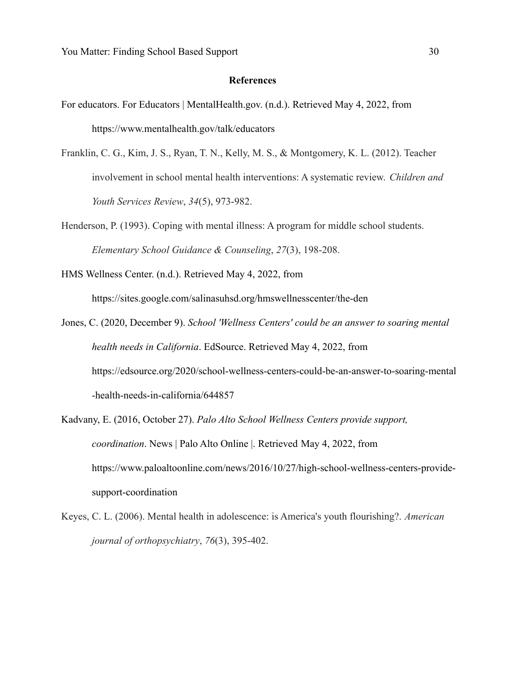#### **References**

- For educators. For Educators | MentalHealth.gov. (n.d.). Retrieved May 4, 2022, from https://www.mentalhealth.gov/talk/educators
- Franklin, C. G., Kim, J. S., Ryan, T. N., Kelly, M. S., & Montgomery, K. L. (2012). Teacher involvement in school mental health interventions: A systematic review. *Children and Youth Services Review*, *34*(5), 973-982.
- Henderson, P. (1993). Coping with mental illness: A program for middle school students. *Elementary School Guidance & Counseling*, *27*(3), 198-208.
- HMS Wellness Center. (n.d.). Retrieved May 4, 2022, from

https://sites.google.com/salinasuhsd.org/hmswellnesscenter/the-den

- Jones, C. (2020, December 9). *School 'Wellness Centers' could be an answer to soaring mental health needs in California*. EdSource. Retrieved May 4, 2022, from https://edsource.org/2020/school-wellness-centers-could-be-an-answer-to-soaring-mental -health-needs-in-california/644857
- Kadvany, E. (2016, October 27). *Palo Alto School Wellness Centers provide support, coordination*. News | Palo Alto Online |. Retrieved May 4, 2022, from https://www.paloaltoonline.com/news/2016/10/27/high-school-wellness-centers-providesupport-coordination
- Keyes, C. L. (2006). Mental health in adolescence: is America's youth flourishing?. *American journal of orthopsychiatry*, *76*(3), 395-402.